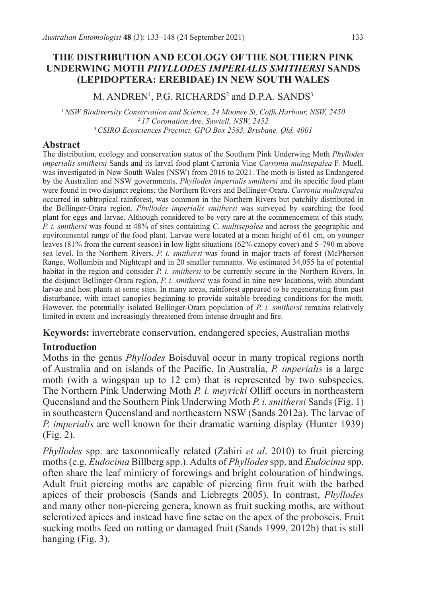### **THE DISTRIBUTION AND ECOLOGY OF THE SOUTHERN PINK UNDERWING MOTH** *PHYLLODES IMPERIALIS SMITHERSI* **SANDS (LEPIDOPTERA: EREBIDAE) IN NEW SOUTH WALES**

 $M$ . ANDREN<sup>1</sup>, P.G. RICHARDS<sup>2</sup> and D.P.A. SANDS<sup>3</sup>

<sup>1</sup>*NSW Biodiversity Conservation and Science, 24 Moonee St, Coffs Harbour, NSW, 2450* <sup>2</sup>*17 Coronation Ave, Sawtell, NSW, 2452* <sup>3</sup>*CSIRO Ecosciences Precinct, GPO Box 2583, Brisbane, Qld, 4001*

### **Abstract**

The distribution, ecology and conservation status of the Southern Pink Underwing Moth *Phyllodes imperialis smithersi* Sands and its larval food plant Carronia Vine *Carronia multisepalea* F. Muell. was investigated in New South Wales (NSW) from 2016 to 2021. The moth is listed as Endangered by the Australian and NSW governments. *Phyllodes imperialis smithersi* and its specific food plant were found in two disjunct regions; the Northern Rivers and Bellinger-Orara. *Carronia multisepalea* occurred in subtropical rainforest, was common in the Northern Rivers but patchily distributed in the Bellinger-Orara region. *Phyllodes imperialis smithersi* was surveyed by searching the food plant for eggs and larvae. Although considered to be very rare at the commencement of this study, *P. i. smithersi* was found at 48% of sites containing *C. multisepalea* and across the geographic and environmental range of the food plant. Larvae were located at a mean height of 61 cm, on younger leaves (81% from the current season) in low light situations (62% canopy cover) and 5–790 m above sea level. In the Northern Rivers, *P. i. smithersi* was found in major tracts of forest (McPherson Range, Wollumbin and Nightcap) and in 20 smaller remnants. We estimated 34,055 ha of potential habitat in the region and consider *P. i. smithersi* to be currently secure in the Northern Rivers. In the disjunct Bellinger-Orara region, *P. i. smithersi* was found in nine new locations, with abundant larvae and host plants at some sites. In many areas, rainforest appeared to be regenerating from past disturbance, with intact canopies beginning to provide suitable breeding conditions for the moth. However, the potentially isolated Bellinger-Orara population of *P. i. smithersi* remains relatively limited in extent and increasingly threatened from intense drought and fire.

**Keywords:** invertebrate conservation, endangered species, Australian moths

## **Introduction**

Moths in the genus *Phyllodes* Boisduval occur in many tropical regions north of Australia and on islands of the Pacific. In Australia, *P. imperialis* is a large moth (with a wingspan up to 12 cm) that is represented by two subspecies. The Northern Pink Underwing Moth *P. i. meyricki* Olliff occurs in northeastern Queensland and the Southern Pink Underwing Moth *P. i. smithersi* Sands (Fig. 1) in southeastern Queensland and northeastern NSW (Sands 2012a). The larvae of *P. imperialis* are well known for their dramatic warning display (Hunter 1939) (Fig. 2).

*Phyllodes* spp. are taxonomically related (Zahiri *et al*. 2010) to fruit piercing moths (e.g. *Eudocima* Billberg spp.). Adults of *Phyllodes* spp. and *Eudocima* spp. often share the leaf mimicry of forewings and bright colouration of hindwings. Adult fruit piercing moths are capable of piercing firm fruit with the barbed apices of their proboscis (Sands and Liebregts 2005). In contrast, *Phyllodes* and many other non-piercing genera, known as fruit sucking moths, are without sclerotized apices and instead have fine setae on the apex of the proboscis. Fruit sucking moths feed on rotting or damaged fruit (Sands 1999, 2012b) that is still hanging (Fig. 3).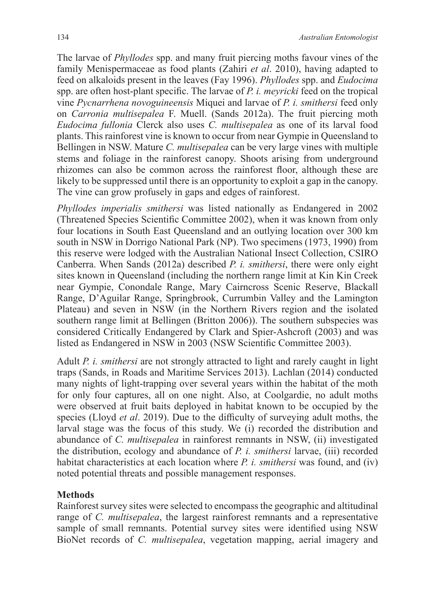The larvae of *Phyllodes* spp. and many fruit piercing moths favour vines of the family Menispermaceae as food plants (Zahiri *et al*. 2010), having adapted to feed on alkaloids present in the leaves (Fay 1996). *Phyllodes* spp. and *Eudocima* spp. are often host-plant specific. The larvae of *P. i. meyricki* feed on the tropical vine *Pycnarrhena novoguineensis* Miquei and larvae of *P. i. smithersi* feed only on *Carronia multisepalea* F. Muell. (Sands 2012a). The fruit piercing moth *Eudocima fullonia* Clerck also uses *C. multisepalea* as one of its larval food plants. This rainforest vine is known to occur from near Gympie in Queensland to Bellingen in NSW. Mature *C. multisepalea* can be very large vines with multiple stems and foliage in the rainforest canopy. Shoots arising from underground rhizomes can also be common across the rainforest floor, although these are likely to be suppressed until there is an opportunity to exploit a gap in the canopy. The vine can grow profusely in gaps and edges of rainforest.

*Phyllodes imperialis smithersi* was listed nationally as Endangered in 2002 (Threatened Species Scientific Committee 2002), when it was known from only four locations in South East Queensland and an outlying location over 300 km south in NSW in Dorrigo National Park (NP). Two specimens (1973, 1990) from this reserve were lodged with the Australian National Insect Collection, CSIRO Canberra. When Sands (2012a) described *P. i. smithersi*, there were only eight sites known in Queensland (including the northern range limit at Kin Kin Creek near Gympie, Conondale Range, Mary Cairncross Scenic Reserve, Blackall Range, D'Aguilar Range, Springbrook, Currumbin Valley and the Lamington Plateau) and seven in NSW (in the Northern Rivers region and the isolated southern range limit at Bellingen (Britton 2006)). The southern subspecies was considered Critically Endangered by Clark and Spier-Ashcroft (2003) and was listed as Endangered in NSW in 2003 (NSW Scientific Committee 2003).

Adult *P. i. smithersi* are not strongly attracted to light and rarely caught in light traps (Sands, in Roads and Maritime Services 2013). Lachlan (2014) conducted many nights of light-trapping over several years within the habitat of the moth for only four captures, all on one night. Also, at Coolgardie, no adult moths were observed at fruit baits deployed in habitat known to be occupied by the species (Lloyd *et al*. 2019). Due to the difficulty of surveying adult moths, the larval stage was the focus of this study. We (i) recorded the distribution and abundance of *C. multisepalea* in rainforest remnants in NSW, (ii) investigated the distribution, ecology and abundance of *P. i. smithersi* larvae, (iii) recorded habitat characteristics at each location where *P. i. smithersi* was found, and (iv) noted potential threats and possible management responses.

## **Methods**

Rainforest survey sites were selected to encompass the geographic and altitudinal range of *C. multisepalea*, the largest rainforest remnants and a representative sample of small remnants. Potential survey sites were identified using NSW BioNet records of *C. multisepalea*, vegetation mapping, aerial imagery and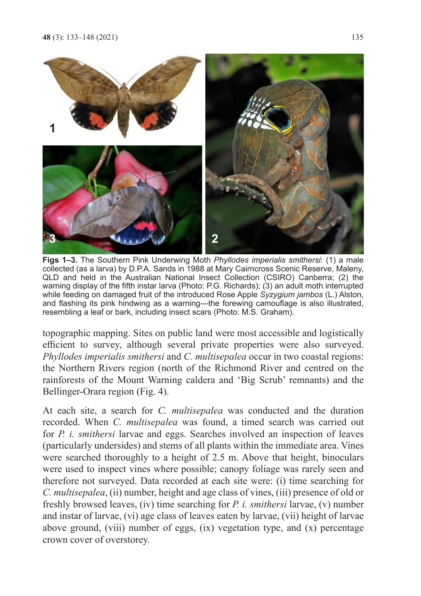

**Figs 1–3.** The Southern Pink Underwing Moth *Phyllodes imperialis smithersi*: (1) a male collected (as a larva) by D.P.A. Sands in 1988 at Mary Cairncross Scenic Reserve, Maleny, QLD and held in the Australian National Insect Collection (CSIRO) Canberra; (2) the warning display of the fifth instar larva (Photo: P.G. Richards); (3) an adult moth interrupted while feeding on damaged fruit of the introduced Rose Apple *Syzygium jambos* (L.) Alston, and flashing its pink hindwing as a warning—the forewing camouflage is also illustrated, resembling a leaf or bark, including insect scars (Photo: M.S. Graham).

topographic mapping. Sites on public land were most accessible and logistically efficient to survey, although several private properties were also surveyed. *Phyllodes imperialis smithersi* and *C. multisepalea* occur in two coastal regions: the Northern Rivers region (north of the Richmond River and centred on the rainforests of the Mount Warning caldera and 'Big Scrub' remnants) and the Bellinger-Orara region (Fig. 4).

At each site, a search for *C. multisepalea* was conducted and the duration recorded. When *C. multisepalea* was found, a timed search was carried out for *P. i. smithersi* larvae and eggs. Searches involved an inspection of leaves (particularly undersides) and stems of all plants within the immediate area. Vines were searched thoroughly to a height of 2.5 m. Above that height, binoculars were used to inspect vines where possible; canopy foliage was rarely seen and therefore not surveyed. Data recorded at each site were: (i) time searching for *C. multisepalea*, (ii) number, height and age class of vines, (iii) presence of old or freshly browsed leaves, (iv) time searching for *P. i. smithersi* larvae, (v) number and instar of larvae, (vi) age class of leaves eaten by larvae, (vii) height of larvae above ground, (viii) number of eggs,  $(ix)$  vegetation type, and  $(x)$  percentage crown cover of overstorey.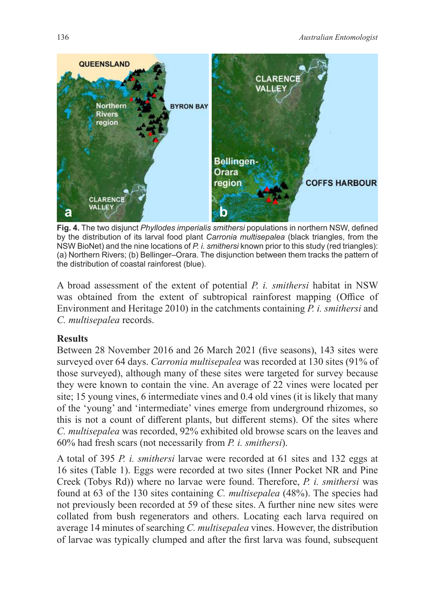

**Fig. 4.** The two disjunct *Phyllodes imperialis smithersi* populations in northern NSW, defined by the distribution of its larval food plant *Carronia multisepalea* (black triangles, from the NSW BioNet) and the nine locations of *P. i. smithersi* known prior to this study (red triangles): (a) Northern Rivers; (b) Bellinger–Orara. The disjunction between them tracks the pattern of the distribution of coastal rainforest (blue).

A broad assessment of the extent of potential *P. i. smithersi* habitat in NSW was obtained from the extent of subtropical rainforest mapping (Office of Environment and Heritage 2010) in the catchments containing *P. i. smithersi* and *C. multisepalea* records.

# **Results**

Between 28 November 2016 and 26 March 2021 (five seasons), 143 sites were surveyed over 64 days. *Carronia multisepalea* was recorded at 130 sites (91% of those surveyed), although many of these sites were targeted for survey because they were known to contain the vine. An average of 22 vines were located per site; 15 young vines, 6 intermediate vines and 0.4 old vines (it is likely that many of the 'young' and 'intermediate' vines emerge from underground rhizomes, so this is not a count of different plants, but different stems). Of the sites where *C. multisepalea* was recorded, 92% exhibited old browse scars on the leaves and 60% had fresh scars (not necessarily from *P. i. smithersi*).

A total of 395 *P. i. smithersi* larvae were recorded at 61 sites and 132 eggs at 16 sites (Table 1). Eggs were recorded at two sites (Inner Pocket NR and Pine Creek (Tobys Rd)) where no larvae were found. Therefore, *P. i. smithersi* was found at 63 of the 130 sites containing *C. multisepalea* (48%). The species had not previously been recorded at 59 of these sites. A further nine new sites were collated from bush regenerators and others. Locating each larva required on average 14 minutes of searching *C. multisepalea* vines. However, the distribution of larvae was typically clumped and after the first larva was found, subsequent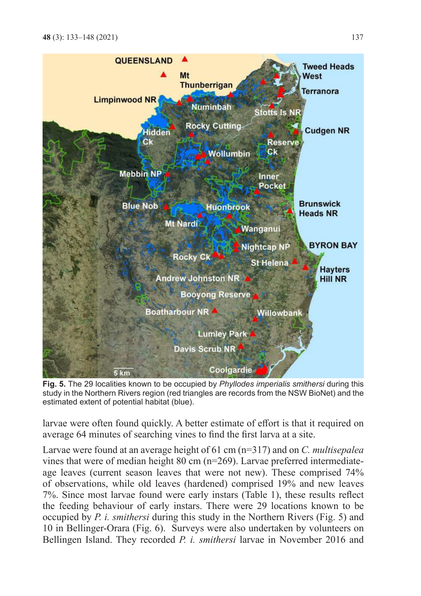

**Fig. 5.** The 29 localities known to be occupied by *Phyllodes imperialis smithersi* during this study in the Northern Rivers region (red triangles are records from the NSW BioNet) and the estimated extent of potential habitat (blue).

larvae were often found quickly. A better estimate of effort is that it required on average 64 minutes of searching vines to find the first larva at a site.

Larvae were found at an average height of 61 cm (n=317) and on *C. multisepalea* vines that were of median height 80 cm (n=269). Larvae preferred intermediateage leaves (current season leaves that were not new). These comprised 74% of observations, while old leaves (hardened) comprised 19% and new leaves 7%. Since most larvae found were early instars (Table 1), these results reflect the feeding behaviour of early instars. There were 29 locations known to be occupied by *P. i. smithersi* during this study in the Northern Rivers (Fig. 5) and 10 in Bellinger-Orara (Fig. 6). Surveys were also undertaken by volunteers on Bellingen Island. They recorded *P. i. smithersi* larvae in November 2016 and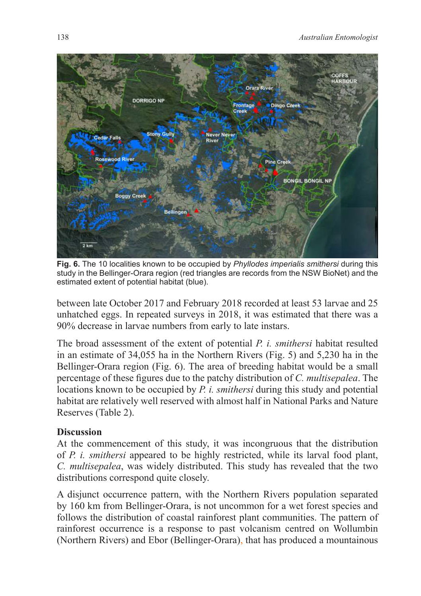

**Fig. 6.** The 10 localities known to be occupied by *Phyllodes imperialis smithersi* during this study in the Bellinger-Orara region (red triangles are records from the NSW BioNet) and the estimated extent of potential habitat (blue).

between late October 2017 and February 2018 recorded at least 53 larvae and 25 unhatched eggs. In repeated surveys in 2018, it was estimated that there was a 90% decrease in larvae numbers from early to late instars.

The broad assessment of the extent of potential *P. i. smithersi* habitat resulted in an estimate of 34,055 ha in the Northern Rivers (Fig. 5) and 5,230 ha in the Bellinger-Orara region (Fig. 6). The area of breeding habitat would be a small percentage of these figures due to the patchy distribution of *C. multisepalea*. The locations known to be occupied by *P. i. smithersi* during this study and potential habitat are relatively well reserved with almost half in National Parks and Nature Reserves (Table 2).

## **Discussion**

At the commencement of this study, it was incongruous that the distribution of *P. i. smithersi* appeared to be highly restricted, while its larval food plant, *C. multisepalea*, was widely distributed. This study has revealed that the two distributions correspond quite closely.

A disjunct occurrence pattern, with the Northern Rivers population separated by 160 km from Bellinger-Orara, is not uncommon for a wet forest species and follows the distribution of coastal rainforest plant communities. The pattern of rainforest occurrence is a response to past volcanism centred on Wollumbin (Northern Rivers) and Ebor (Bellinger-Orara), that has produced a mountainous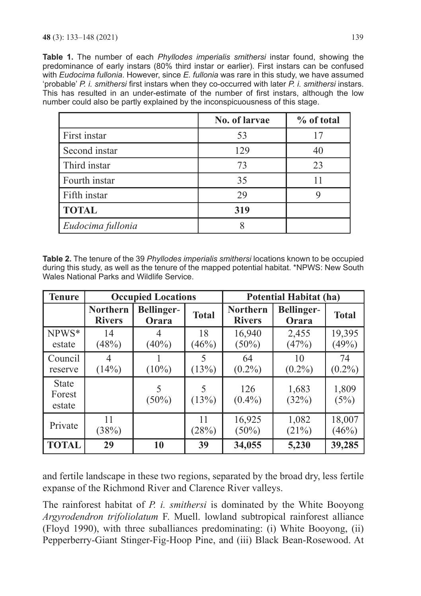**Table 1.** The number of each *Phyllodes imperialis smithersi* instar found, showing the predominance of early instars (80% third instar or earlier). First instars can be confused with *Eudocima fullonia*. However, since *E. fullonia* was rare in this study, we have assumed 'probable' *P. i. smithersi* first instars when they co-occurred with later *P. i. smithersi* instars. This has resulted in an under-estimate of the number of first instars, although the low number could also be partly explained by the inconspicuousness of this stage.

|                   | No. of larvae | % of total |
|-------------------|---------------|------------|
| First instar      | 53            |            |
| Second instar     | 129           | 40         |
| Third instar      | 73            | 23         |
| Fourth instar     | 35            |            |
| Fifth instar      | 29            |            |
| <b>TOTAL</b>      | 319           |            |
| Eudocima fullonia |               |            |

**Table 2.** The tenure of the 39 *Phyllodes imperialis smithersi* locations known to be occupied during this study, as well as the tenure of the mapped potential habitat. \*NPWS: New South Wales National Parks and Wildlife Service.

| <b>Tenure</b>                    | <b>Occupied Locations</b>        |                            |              | <b>Potential Habitat (ha)</b>    |                     |                 |
|----------------------------------|----------------------------------|----------------------------|--------------|----------------------------------|---------------------|-----------------|
|                                  | <b>Northern</b><br><b>Rivers</b> | <b>Bellinger-</b><br>Orara | <b>Total</b> | <b>Northern</b><br><b>Rivers</b> | Bellinger-<br>Orara | <b>Total</b>    |
| NPWS*<br>estate                  | 14<br>(48%)                      | $(40\%)$                   | 18<br>(46%)  | 16,940<br>$(50\%)$               | 2,455<br>(47%)      | 19,395<br>(49%) |
| Council<br>reserve               | (14%)                            | $(10\%)$                   | 5<br>(13%)   | 64<br>$(0.2\%)$                  | 10<br>$(0.2\%)$     | 74<br>$(0.2\%)$ |
| <b>State</b><br>Forest<br>estate |                                  | $(50\%)$                   | (13%)        | 126<br>$(0.4\%)$                 | 1,683<br>(32%)      | 1,809<br>(5%)   |
| Private                          | 11<br>(38%)                      |                            | 11<br>(28%)  | 16,925<br>$(50\%)$               | 1,082<br>(21%)      | 18,007<br>(46%) |
| <b>TOTAL</b>                     | 29                               | 10                         | 39           | 34,055                           | 5,230               | 39,285          |

and fertile landscape in these two regions, separated by the broad dry, less fertile expanse of the Richmond River and Clarence River valleys.

The rainforest habitat of *P. i. smithersi* is dominated by the White Booyong *Argyrodendron trifoliolatum* F. Muell. lowland subtropical rainforest alliance (Floyd 1990), with three suballiances predominating: (i) White Booyong, (ii) Pepperberry-Giant Stinger-Fig-Hoop Pine, and (iii) Black Bean-Rosewood. At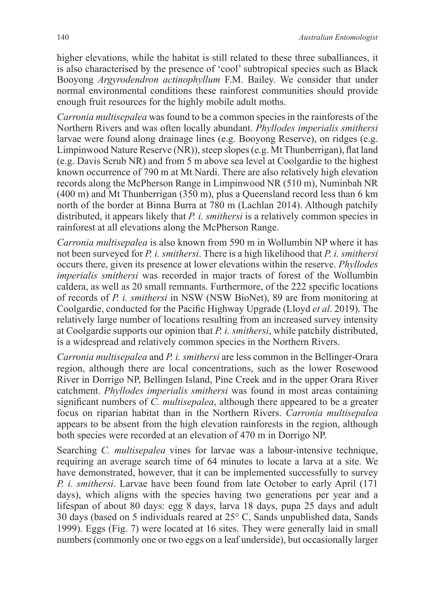higher elevations, while the habitat is still related to these three suballiances, it is also characterised by the presence of 'cool' subtropical species such as Black Booyong *Argyrodendron actinophyllum* F.M. Bailey. We consider that under normal environmental conditions these rainforest communities should provide enough fruit resources for the highly mobile adult moths.

*Carronia multisepalea* was found to be a common species in the rainforests of the Northern Rivers and was often locally abundant. *Phyllodes imperialis smithersi* larvae were found along drainage lines (e.g. Booyong Reserve), on ridges (e.g. Limpinwood Nature Reserve (NR)), steep slopes (e.g. Mt Thunberrigan), flat land (e.g. Davis Scrub NR) and from 5 m above sea level at Coolgardie to the highest known occurrence of 790 m at Mt Nardi. There are also relatively high elevation records along the McPherson Range in Limpinwood NR (510 m), Numinbah NR (400 m) and Mt Thunberrigan (350 m), plus a Queensland record less than 6 km north of the border at Binna Burra at 780 m (Lachlan 2014). Although patchily distributed, it appears likely that *P. i. smithersi* is a relatively common species in rainforest at all elevations along the McPherson Range.

*Carronia multisepalea* is also known from 590 m in Wollumbin NP where it has not been surveyed for *P. i. smithersi*. There is a high likelihood that *P. i. smithersi* occurs there, given its presence at lower elevations within the reserve. *Phyllodes imperialis smithersi* was recorded in major tracts of forest of the Wollumbin caldera, as well as 20 small remnants. Furthermore, of the 222 specific locations of records of *P. i. smithersi* in NSW (NSW BioNet), 89 are from monitoring at Coolgardie, conducted for the Pacific Highway Upgrade (Lloyd *et al*. 2019). The relatively large number of locations resulting from an increased survey intensity at Coolgardie supports our opinion that *P. i. smithersi*, while patchily distributed, is a widespread and relatively common species in the Northern Rivers.

*Carronia multisepalea* and *P. i. smithersi* are less common in the Bellinger-Orara region, although there are local concentrations, such as the lower Rosewood River in Dorrigo NP, Bellingen Island, Pine Creek and in the upper Orara River catchment. *Phyllodes imperialis smithersi* was found in most areas containing significant numbers of *C. multisepalea*, although there appeared to be a greater focus on riparian habitat than in the Northern Rivers. *Carronia multisepalea* appears to be absent from the high elevation rainforests in the region, although both species were recorded at an elevation of 470 m in Dorrigo NP.

Searching *C. multisepalea* vines for larvae was a labour-intensive technique, requiring an average search time of 64 minutes to locate a larva at a site. We have demonstrated, however, that it can be implemented successfully to survey *P. i. smithersi*. Larvae have been found from late October to early April (171 days), which aligns with the species having two generations per year and a lifespan of about 80 days: egg 8 days, larva 18 days, pupa 25 days and adult 30 days (based on 5 individuals reared at 25° C, Sands unpublished data, Sands 1999). Eggs (Fig. 7) were located at 16 sites. They were generally laid in small numbers (commonly one or two eggs on a leaf underside), but occasionally larger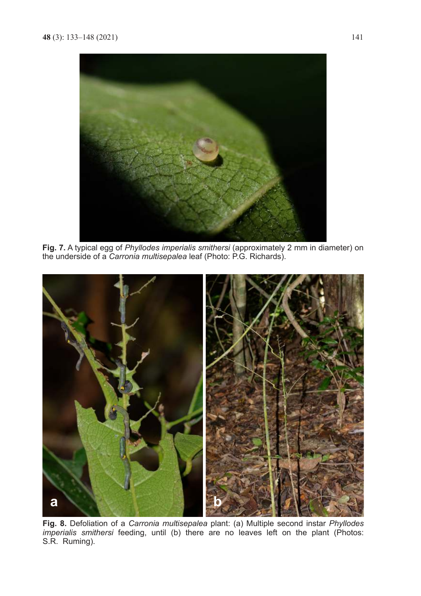

**Fig. 7.** A typical egg of *Phyllodes imperialis smithersi* (approximately 2 mm in diameter) on the underside of a *Carronia multisepalea* leaf (Photo: P.G. Richards).



**Fig. 8.** Defoliation of a *Carronia multisepalea* plant: (a) Multiple second instar *Phyllodes imperialis smithersi* feeding, until (b) there are no leaves left on the plant (Photos: S.R. Ruming).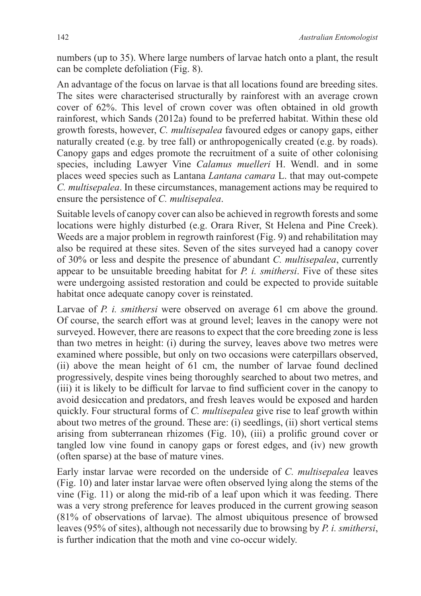numbers (up to 35). Where large numbers of larvae hatch onto a plant, the result can be complete defoliation (Fig. 8).

An advantage of the focus on larvae is that all locations found are breeding sites. The sites were characterised structurally by rainforest with an average crown cover of 62%. This level of crown cover was often obtained in old growth rainforest, which Sands (2012a) found to be preferred habitat. Within these old growth forests, however, *C. multisepalea* favoured edges or canopy gaps, either naturally created (e.g. by tree fall) or anthropogenically created (e.g. by roads). Canopy gaps and edges promote the recruitment of a suite of other colonising species, including Lawyer Vine *Calamus muelleri* H. Wendl. and in some places weed species such as Lantana *Lantana camara* L. that may out-compete *C. multisepalea*. In these circumstances, management actions may be required to ensure the persistence of *C. multisepalea*.

Suitable levels of canopy cover can also be achieved in regrowth forests and some locations were highly disturbed (e.g. Orara River, St Helena and Pine Creek). Weeds are a major problem in regrowth rainforest (Fig. 9) and rehabilitation may also be required at these sites. Seven of the sites surveyed had a canopy cover of 30% or less and despite the presence of abundant *C. multisepalea*, currently appear to be unsuitable breeding habitat for *P. i. smithersi*. Five of these sites were undergoing assisted restoration and could be expected to provide suitable habitat once adequate canopy cover is reinstated.

Larvae of *P. i. smithersi* were observed on average 61 cm above the ground. Of course, the search effort was at ground level; leaves in the canopy were not surveyed. However, there are reasons to expect that the core breeding zone is less than two metres in height: (i) during the survey, leaves above two metres were examined where possible, but only on two occasions were caterpillars observed, (ii) above the mean height of 61 cm, the number of larvae found declined progressively, despite vines being thoroughly searched to about two metres, and (iii) it is likely to be difficult for larvae to find sufficient cover in the canopy to avoid desiccation and predators, and fresh leaves would be exposed and harden quickly. Four structural forms of *C. multisepalea* give rise to leaf growth within about two metres of the ground. These are: (i) seedlings, (ii) short vertical stems arising from subterranean rhizomes (Fig. 10), (iii) a prolific ground cover or tangled low vine found in canopy gaps or forest edges, and (iv) new growth (often sparse) at the base of mature vines.

Early instar larvae were recorded on the underside of *C. multisepalea* leaves (Fig. 10) and later instar larvae were often observed lying along the stems of the vine (Fig. 11) or along the mid-rib of a leaf upon which it was feeding. There was a very strong preference for leaves produced in the current growing season (81% of observations of larvae). The almost ubiquitous presence of browsed leaves (95% of sites), although not necessarily due to browsing by *P. i. smithersi*, is further indication that the moth and vine co-occur widely.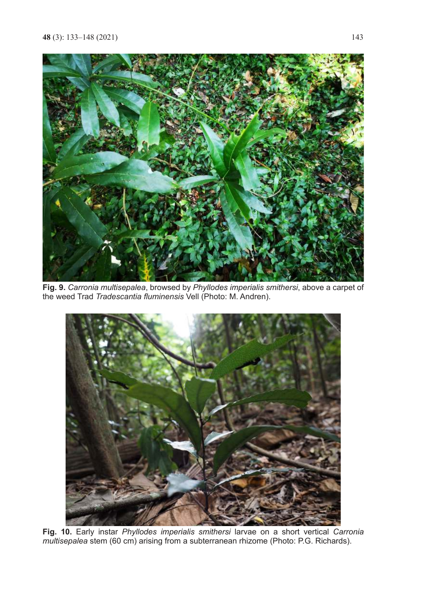

**Fig. 9.** *Carronia multisepalea*, browsed by *Phyllodes imperialis smithersi*, above a carpet of the weed Trad *Tradescantia fluminensis* Vell (Photo: M. Andren).



**Fig. 10.** Early instar *Phyllodes imperialis smithersi* larvae on a short vertical *Carronia multisepalea* stem (60 cm) arising from a subterranean rhizome (Photo: P.G. Richards).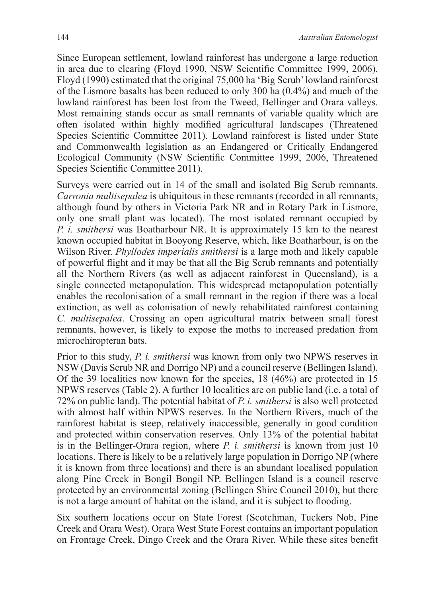Since European settlement, lowland rainforest has undergone a large reduction in area due to clearing (Floyd 1990, NSW Scientific Committee 1999, 2006). Floyd (1990) estimated that the original 75,000 ha 'Big Scrub' lowland rainforest of the Lismore basalts has been reduced to only 300 ha (0.4%) and much of the lowland rainforest has been lost from the Tweed, Bellinger and Orara valleys. Most remaining stands occur as small remnants of variable quality which are often isolated within highly modified agricultural landscapes (Threatened Species Scientific Committee 2011). Lowland rainforest is listed under State and Commonwealth legislation as an Endangered or Critically Endangered Ecological Community (NSW Scientific Committee 1999, 2006, Threatened Species Scientific Committee 2011).

Surveys were carried out in 14 of the small and isolated Big Scrub remnants. *Carronia multisepalea* is ubiquitous in these remnants (recorded in all remnants, although found by others in Victoria Park NR and in Rotary Park in Lismore, only one small plant was located). The most isolated remnant occupied by *P. i. smithersi* was Boatharbour NR. It is approximately 15 km to the nearest known occupied habitat in Booyong Reserve, which, like Boatharbour, is on the Wilson River. *Phyllodes imperialis smithersi* is a large moth and likely capable of powerful flight and it may be that all the Big Scrub remnants and potentially all the Northern Rivers (as well as adjacent rainforest in Queensland), is a single connected metapopulation. This widespread metapopulation potentially enables the recolonisation of a small remnant in the region if there was a local extinction, as well as colonisation of newly rehabilitated rainforest containing *C. multisepalea*. Crossing an open agricultural matrix between small forest remnants, however, is likely to expose the moths to increased predation from microchiropteran bats.

Prior to this study, *P. i. smithersi* was known from only two NPWS reserves in NSW (Davis Scrub NR and Dorrigo NP) and a council reserve (Bellingen Island). Of the 39 localities now known for the species, 18 (46%) are protected in 15 NPWS reserves (Table 2). A further 10 localities are on public land (i.e. a total of 72% on public land). The potential habitat of *P. i. smithersi* is also well protected with almost half within NPWS reserves. In the Northern Rivers, much of the rainforest habitat is steep, relatively inaccessible, generally in good condition and protected within conservation reserves. Only 13% of the potential habitat is in the Bellinger-Orara region, where *P. i. smithersi* is known from just 10 locations. There is likely to be a relatively large population in Dorrigo NP (where it is known from three locations) and there is an abundant localised population along Pine Creek in Bongil Bongil NP. Bellingen Island is a council reserve protected by an environmental zoning (Bellingen Shire Council 2010), but there is not a large amount of habitat on the island, and it is subject to flooding.

Six southern locations occur on State Forest (Scotchman, Tuckers Nob, Pine Creek and Orara West). Orara West State Forest contains an important population on Frontage Creek, Dingo Creek and the Orara River. While these sites benefit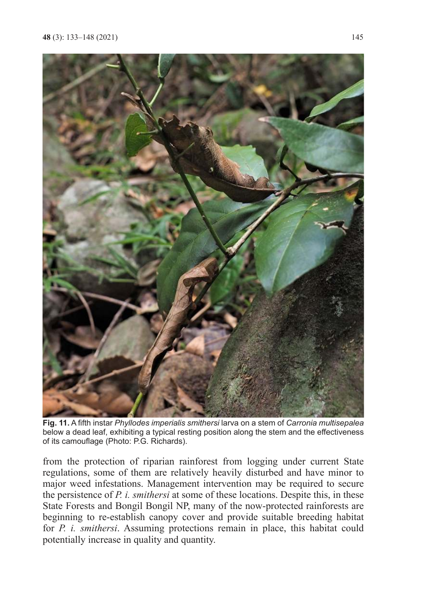

**Fig. 11.** A fifth instar *Phyllodes imperialis smithersi* larva on a stem of *Carronia multisepalea* below a dead leaf, exhibiting a typical resting position along the stem and the effectiveness of its camouflage (Photo: P.G. Richards).

from the protection of riparian rainforest from logging under current State regulations, some of them are relatively heavily disturbed and have minor to major weed infestations. Management intervention may be required to secure the persistence of *P. i. smithersi* at some of these locations. Despite this, in these State Forests and Bongil Bongil NP, many of the now-protected rainforests are beginning to re-establish canopy cover and provide suitable breeding habitat for *P. i. smithersi*. Assuming protections remain in place, this habitat could potentially increase in quality and quantity.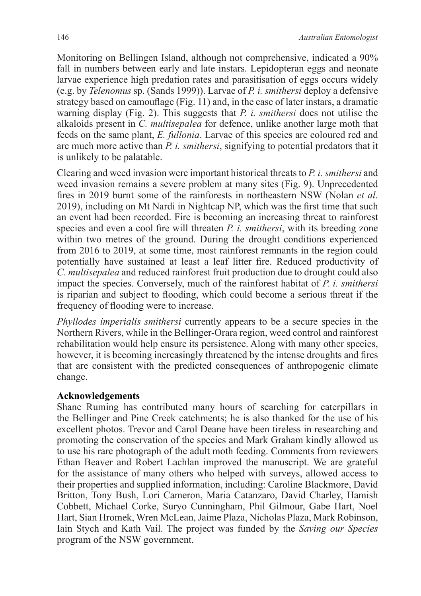Monitoring on Bellingen Island, although not comprehensive, indicated a 90% fall in numbers between early and late instars. Lepidopteran eggs and neonate larvae experience high predation rates and parasitisation of eggs occurs widely (e.g. by *Telenomus* sp. (Sands 1999)). Larvae of *P. i. smithersi* deploy a defensive strategy based on camouflage (Fig. 11) and, in the case of later instars, a dramatic warning display (Fig. 2). This suggests that *P. i. smithersi* does not utilise the alkaloids present in *C. multisepalea* for defence, unlike another large moth that feeds on the same plant, *E. fullonia*. Larvae of this species are coloured red and are much more active than *P. i. smithersi*, signifying to potential predators that it is unlikely to be palatable.

Clearing and weed invasion were important historical threats to *P. i. smithersi* and weed invasion remains a severe problem at many sites (Fig. 9). Unprecedented fires in 2019 burnt some of the rainforests in northeastern NSW (Nolan *et al*. 2019), including on Mt Nardi in Nightcap NP, which was the first time that such an event had been recorded. Fire is becoming an increasing threat to rainforest species and even a cool fire will threaten *P. i. smithersi*, with its breeding zone within two metres of the ground. During the drought conditions experienced from 2016 to 2019, at some time, most rainforest remnants in the region could potentially have sustained at least a leaf litter fire. Reduced productivity of *C. multisepalea* and reduced rainforest fruit production due to drought could also impact the species. Conversely, much of the rainforest habitat of *P. i. smithersi* is riparian and subject to flooding, which could become a serious threat if the frequency of flooding were to increase.

*Phyllodes imperialis smithersi* currently appears to be a secure species in the Northern Rivers, while in the Bellinger-Orara region, weed control and rainforest rehabilitation would help ensure its persistence. Along with many other species, however, it is becoming increasingly threatened by the intense droughts and fires that are consistent with the predicted consequences of anthropogenic climate change.

### **Acknowledgements**

Shane Ruming has contributed many hours of searching for caterpillars in the Bellinger and Pine Creek catchments; he is also thanked for the use of his excellent photos. Trevor and Carol Deane have been tireless in researching and promoting the conservation of the species and Mark Graham kindly allowed us to use his rare photograph of the adult moth feeding. Comments from reviewers Ethan Beaver and Robert Lachlan improved the manuscript. We are grateful for the assistance of many others who helped with surveys, allowed access to their properties and supplied information, including: Caroline Blackmore, David Britton, Tony Bush, Lori Cameron, Maria Catanzaro, David Charley, Hamish Cobbett, Michael Corke, Suryo Cunningham, Phil Gilmour, Gabe Hart, Noel Hart, Sian Hromek, Wren McLean, Jaime Plaza, Nicholas Plaza, Mark Robinson, Iain Stych and Kath Vail. The project was funded by the *Saving our Species* program of the NSW government.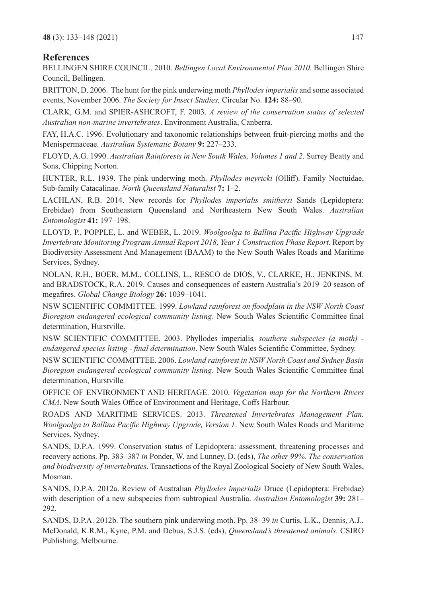#### **References**

BELLINGEN SHIRE COUNCIL. 2010. *Bellingen Local Environmental Plan 2010*. Bellingen Shire Council, Bellingen.

BRITTON, D. 2006. The hunt for the pink underwing moth *Phyllodes imperialis* and some associated events, November 2006. *The Society for Insect Studies,* Circular No. **124:** 88–90.

CLARK, G.M. and SPIER-ASHCROFT, F. 2003. *A review of the conservation status of selected Australian non-marine invertebrates*. Environment Australia, Canberra.

FAY, H.A.C. 1996. Evolutionary and taxonomic relationships between fruit-piercing moths and the Menispermaceae. *Australian Systematic Botany* **9:** 227–233.

FLOYD, A.G. 1990. *Australian Rainforests in New South Wales, Volumes 1 and 2*. Surrey Beatty and Sons, Chipping Norton.

HUNTER, R.L. 1939. The pink underwing moth. *Phyllodes meyricki* (Olliff). Family Noctuidae, Sub-family Catacalinae. *North Queensland Naturalist* **7:** 1–2.

LACHLAN, R.B. 2014. New records for *Phyllodes imperialis smithersi* Sands (Lepidoptera: Erebidae) from Southeastern Queensland and Northeastern New South Wales. *Australian Entomologist* **41:** 197–198.

LLOYD, P., POPPLE, L. and WEBER, L. 2019. *Woolgoolga to Ballina Pacific Highway Upgrade Invertebrate Monitoring Program Annual Report 2018, Year 1 Construction Phase Report*. Report by Biodiversity Assessment And Management (BAAM) to the New South Wales Roads and Maritime Services, Sydney.

NOLAN, R.H., BOER, M.M., COLLINS, L., RESCO de DIOS, V., CLARKE, H., JENKINS, M. and BRADSTOCK, R.A. 2019. Causes and consequences of eastern Australia's 2019–20 season of megafires. *Global Change Biology* **26:** 1039–1041.

NSW SCIENTIFIC COMMITTEE. 1999. *Lowland rainforest on floodplain in the NSW North Coast Bioregion endangered ecological community listing*. New South Wales Scientific Committee final determination, Hurstville.

NSW SCIENTIFIC COMMITTEE. 2003. Phyllodes imperialis*, southern subspecies (a moth) endangered species listing - final determination*. New South Wales Scientific Committee, Sydney.

NSW SCIENTIFIC COMMITTEE. 2006. *Lowland rainforest in NSW North Coast and Sydney Basin Bioregion endangered ecological community listing*. New South Wales Scientific Committee final determination, Hurstville*.*

OFFICE OF ENVIRONMENT AND HERITAGE. 2010. *Vegetation map for the Northern Rivers CMA*. New South Wales Office of Environment and Heritage, Coffs Harbour.

ROADS AND MARITIME SERVICES. 2013. *Threatened Invertebrates Management Plan. Woolgoolga to Ballina Pacific Highway Upgrade, Version 1*. New South Wales Roads and Maritime Services, Sydney.

SANDS, D.P.A. 1999. Conservation status of Lepidoptera: assessment, threatening processes and recovery actions. Pp. 383–387 *in* Ponder, W. and Lunney, D. (eds), *The other 99%. The conservation and biodiversity of invertebrates*. Transactions of the Royal Zoological Society of New South Wales, Mosman.

SANDS, D.P.A. 2012a. Review of Australian *Phyllodes imperialis* Druce (Lepidoptera: Erebidae) with description of a new subspecies from subtropical Australia. *Australian Entomologist* **39:** 281– 292.

SANDS, D.P.A. 2012b. The southern pink underwing moth. Pp. 38–39 *in* Curtis, L.K., Dennis, A.J., McDonald, K.R.M., Kyne, P.M. and Debus, S.J.S. (eds), *Queensland's threatened animals*. CSIRO Publishing, Melbourne.